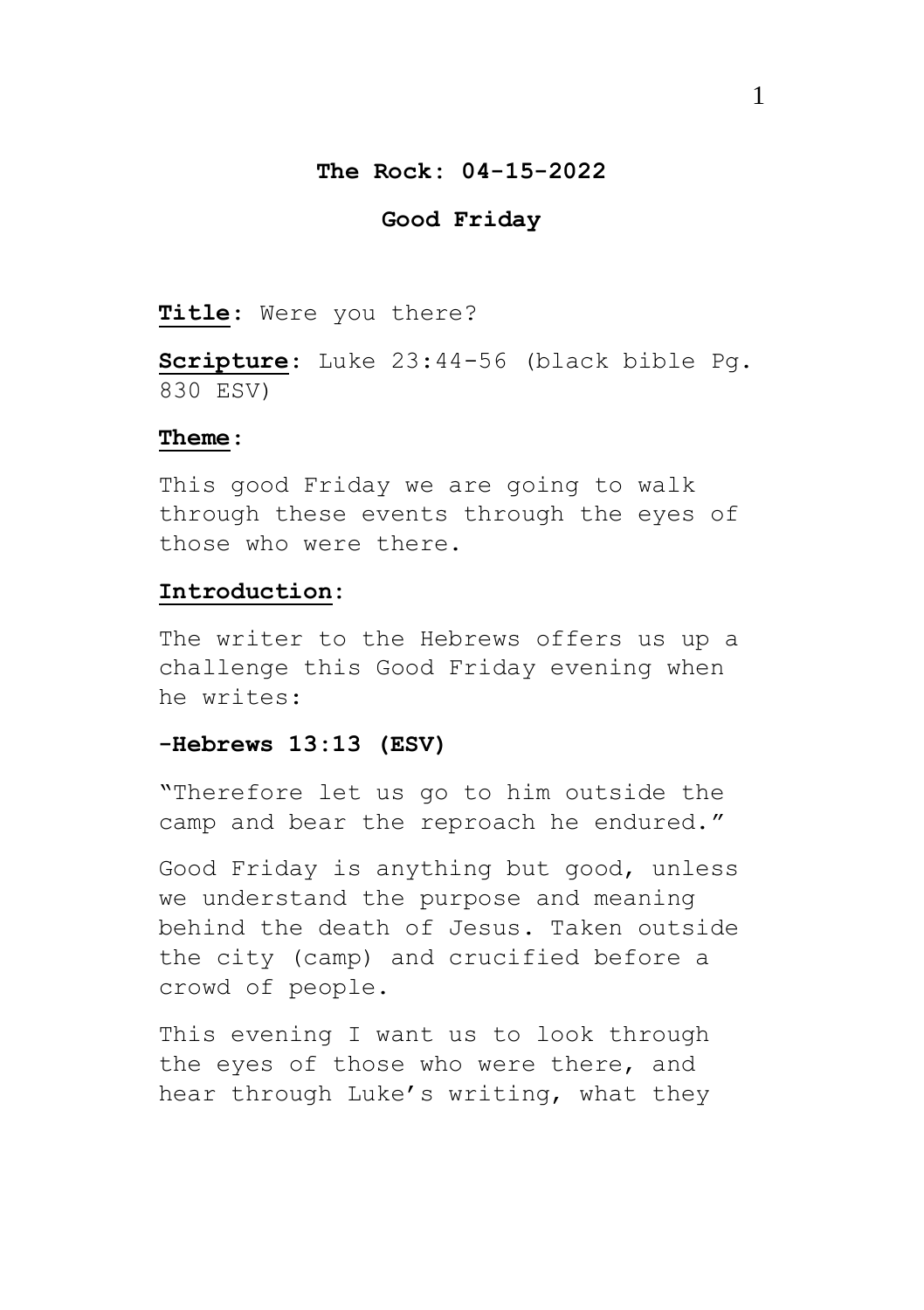#### **The Rock: 04-15-2022**

#### **Good Friday**

#### **Title**: Were you there?

**Scripture**: Luke 23:44-56 (black bible Pg. 830 ESV)

#### **Theme**:

This good Friday we are going to walk through these events through the eyes of those who were there.

# **Introduction:**

The writer to the Hebrews offers us up a challenge this Good Friday evening when he writes:

#### **-Hebrews 13:13 (ESV)**

"Therefore let us go to him outside the camp and bear the reproach he endured."

Good Friday is anything but good, unless we understand the purpose and meaning behind the death of Jesus. Taken outside the city (camp) and crucified before a crowd of people.

This evening I want us to look through the eyes of those who were there, and hear through Luke's writing, what they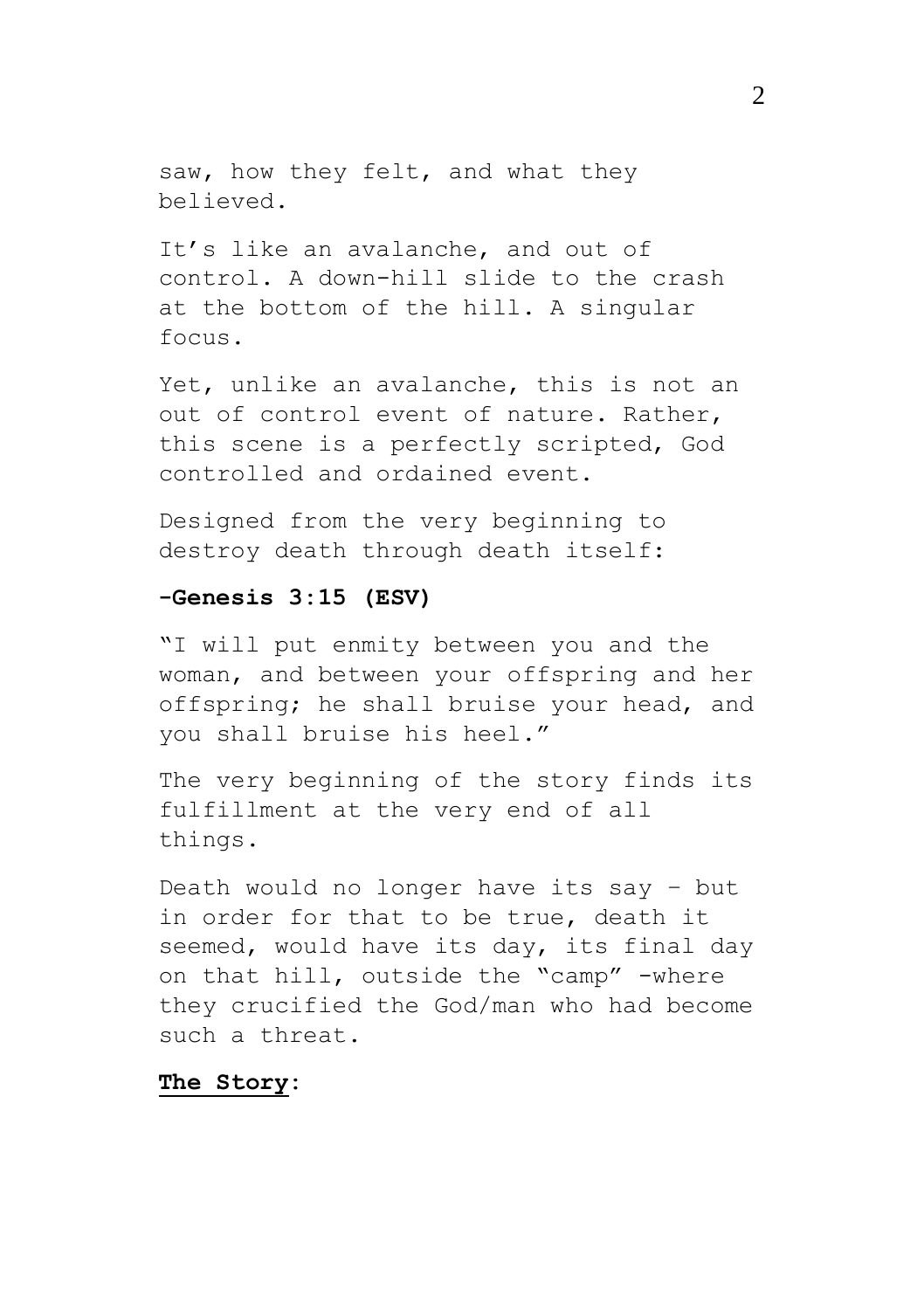saw, how they felt, and what they believed.

It's like an avalanche, and out of control. A down-hill slide to the crash at the bottom of the hill. A singular focus.

Yet, unlike an avalanche, this is not an out of control event of nature. Rather, this scene is a perfectly scripted, God controlled and ordained event.

Designed from the very beginning to destroy death through death itself:

# **-Genesis 3:15 (ESV)**

"I will put enmity between you and the woman, and between your offspring and her offspring; he shall bruise your head, and you shall bruise his heel."

The very beginning of the story finds its fulfillment at the very end of all things.

Death would no longer have its say – but in order for that to be true, death it seemed, would have its day, its final day on that hill, outside the "camp" -where they crucified the God/man who had become such a threat.

### **The Story:**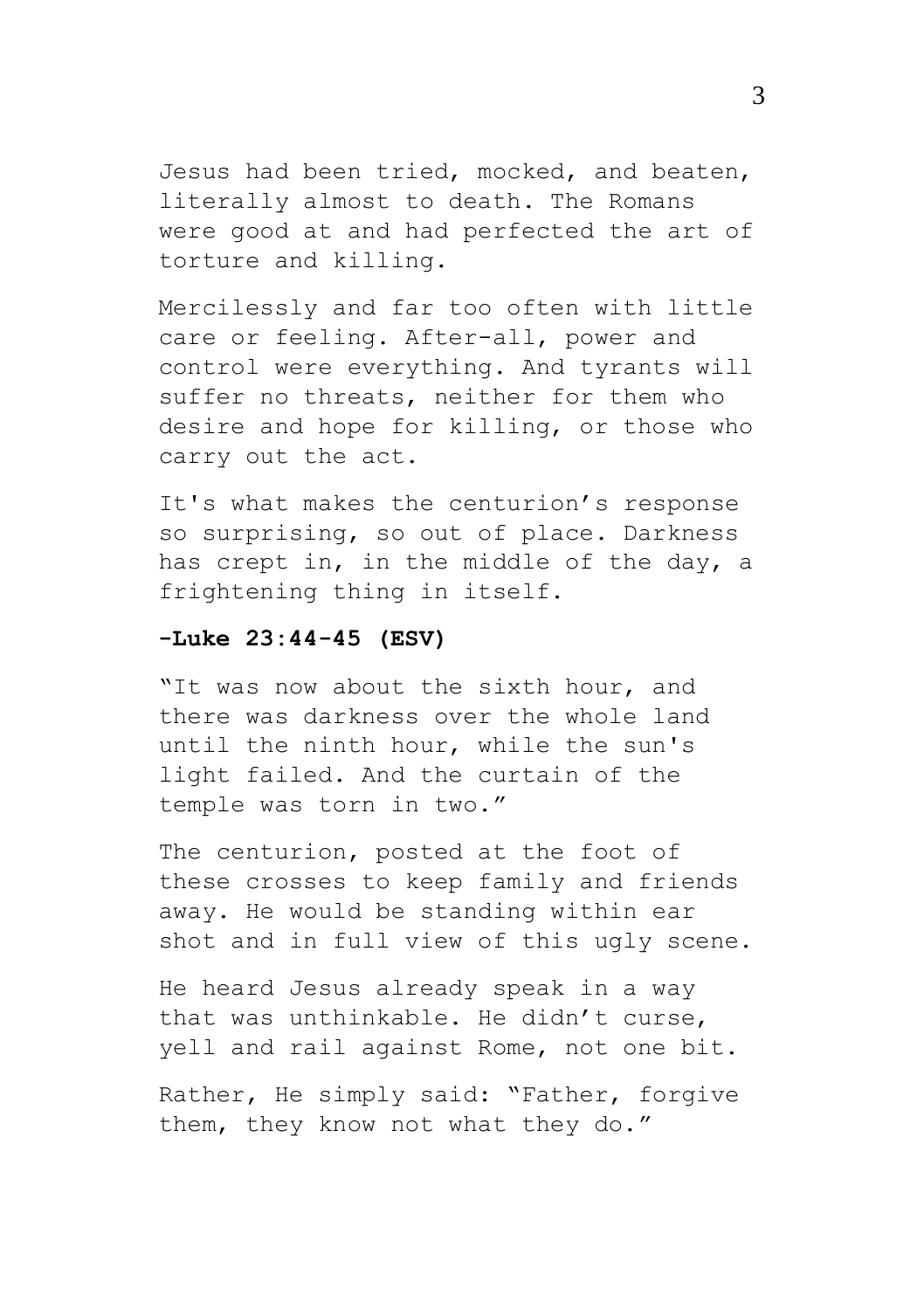Jesus had been tried, mocked, and beaten, literally almost to death. The Romans were good at and had perfected the art of torture and killing.

Mercilessly and far too often with little care or feeling. After-all, power and control were everything. And tyrants will suffer no threats, neither for them who desire and hope for killing, or those who carry out the act.

It's what makes the centurion's response so surprising, so out of place. Darkness has crept in, in the middle of the day, a frightening thing in itself.

## **-Luke 23:44-45 (ESV)**

"It was now about the sixth hour, and there was darkness over the whole land until the ninth hour, while the sun's light failed. And the curtain of the temple was torn in two."

The centurion, posted at the foot of these crosses to keep family and friends away. He would be standing within ear shot and in full view of this ugly scene.

He heard Jesus already speak in a way that was unthinkable. He didn't curse, yell and rail against Rome, not one bit.

Rather, He simply said: "Father, forgive them, they know not what they do."

3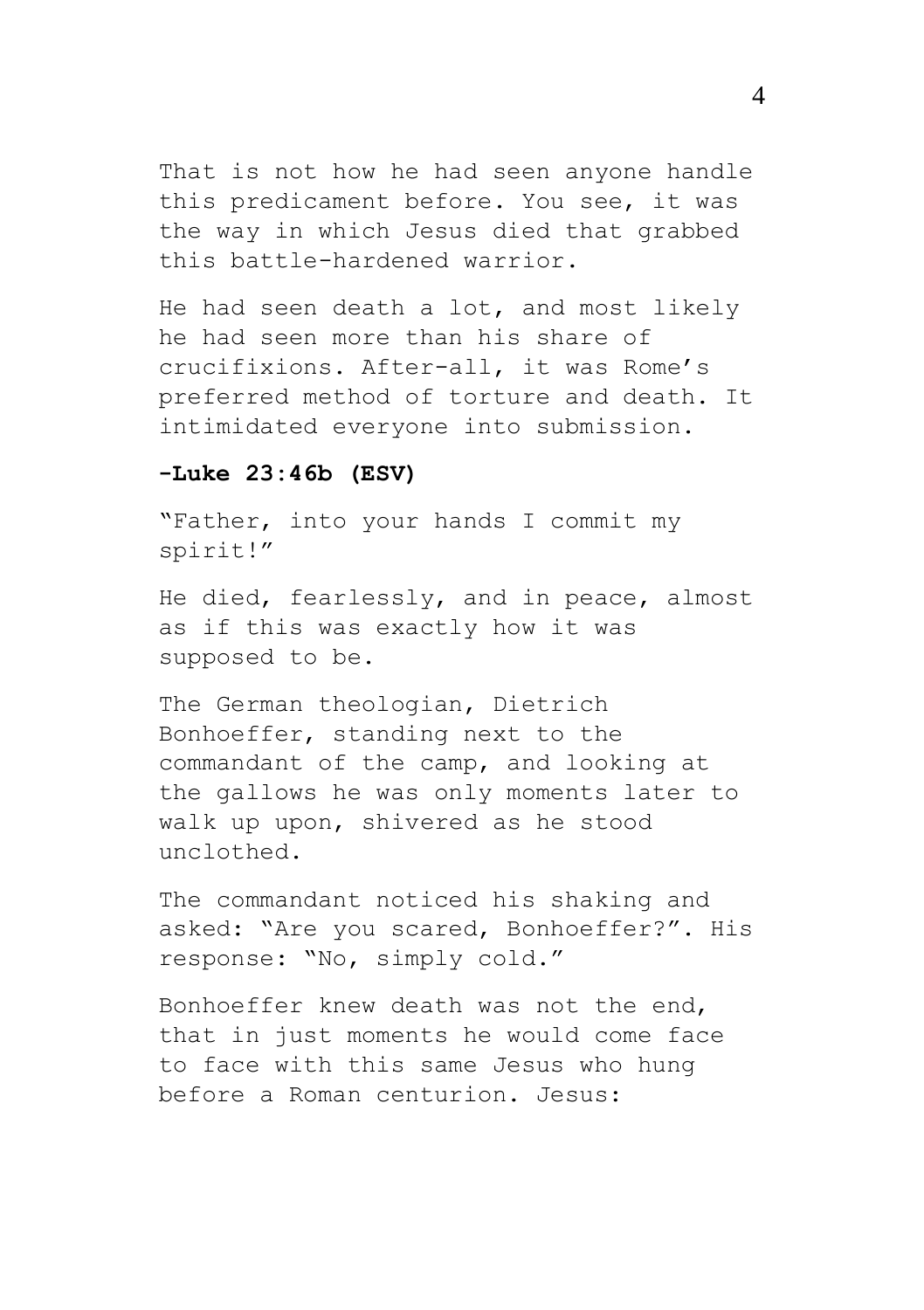That is not how he had seen anyone handle this predicament before. You see, it was the way in which Jesus died that grabbed this battle-hardened warrior.

He had seen death a lot, and most likely he had seen more than his share of crucifixions. After-all, it was Rome's preferred method of torture and death. It intimidated everyone into submission.

# **-Luke 23:46b (ESV)**

"Father, into your hands I commit my spirit!"

He died, fearlessly, and in peace, almost as if this was exactly how it was supposed to be.

The German theologian, Dietrich Bonhoeffer, standing next to the commandant of the camp, and looking at the gallows he was only moments later to walk up upon, shivered as he stood unclothed.

The commandant noticed his shaking and asked: "Are you scared, Bonhoeffer?". His response: "No, simply cold."

Bonhoeffer knew death was not the end, that in just moments he would come face to face with this same Jesus who hung before a Roman centurion. Jesus: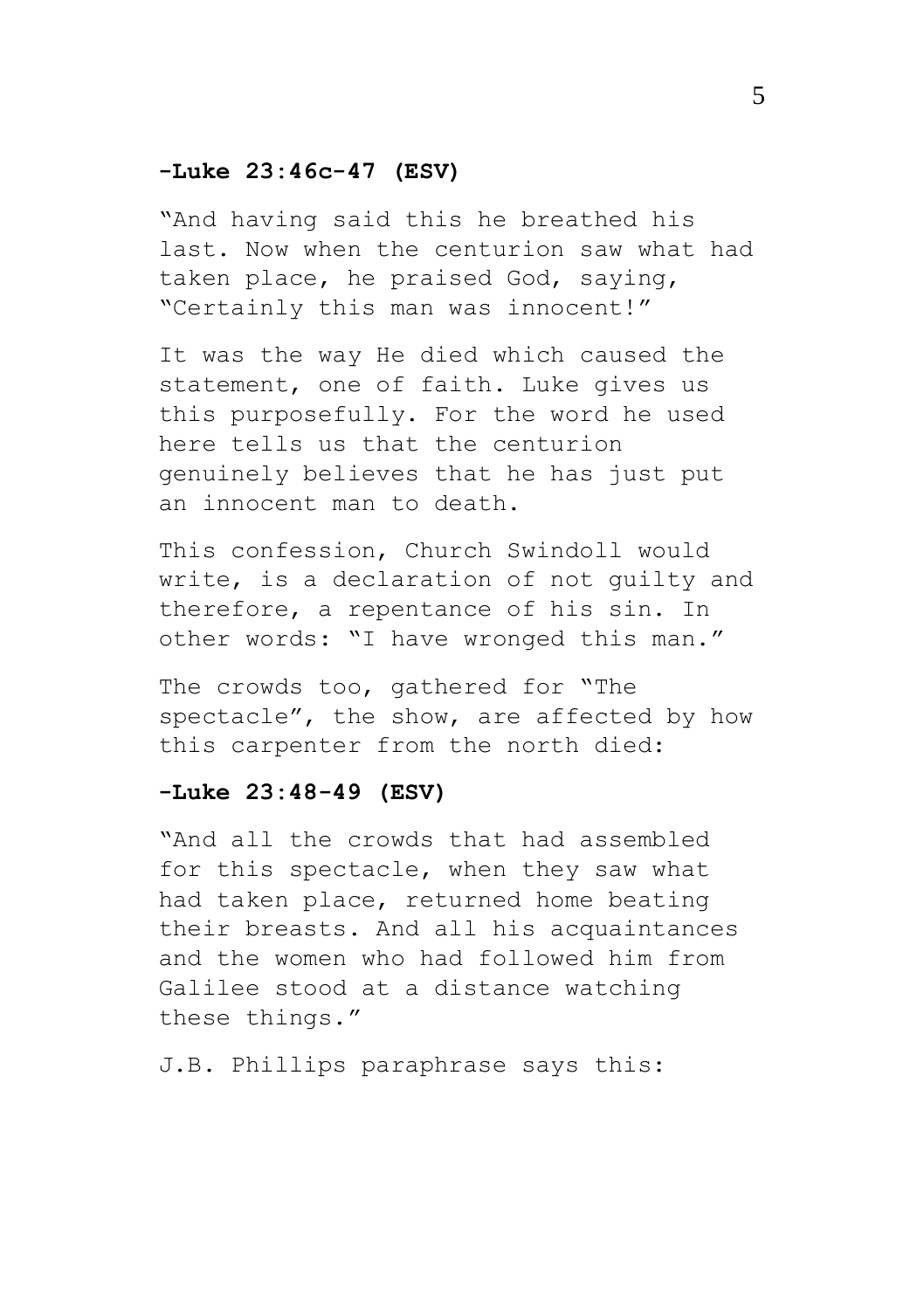# **-Luke 23:46c-47 (ESV)**

"And having said this he breathed his last. Now when the centurion saw what had taken place, he praised God, saying, "Certainly this man was innocent!"

It was the way He died which caused the statement, one of faith. Luke gives us this purposefully. For the word he used here tells us that the centurion genuinely believes that he has just put an innocent man to death.

This confession, Church Swindoll would write, is a declaration of not guilty and therefore, a repentance of his sin. In other words: "I have wronged this man."

The crowds too, gathered for "The spectacle", the show, are affected by how this carpenter from the north died:

#### **-Luke 23:48-49 (ESV)**

"And all the crowds that had assembled for this spectacle, when they saw what had taken place, returned home beating their breasts. And all his acquaintances and the women who had followed him from Galilee stood at a distance watching these things."

J.B. Phillips paraphrase says this: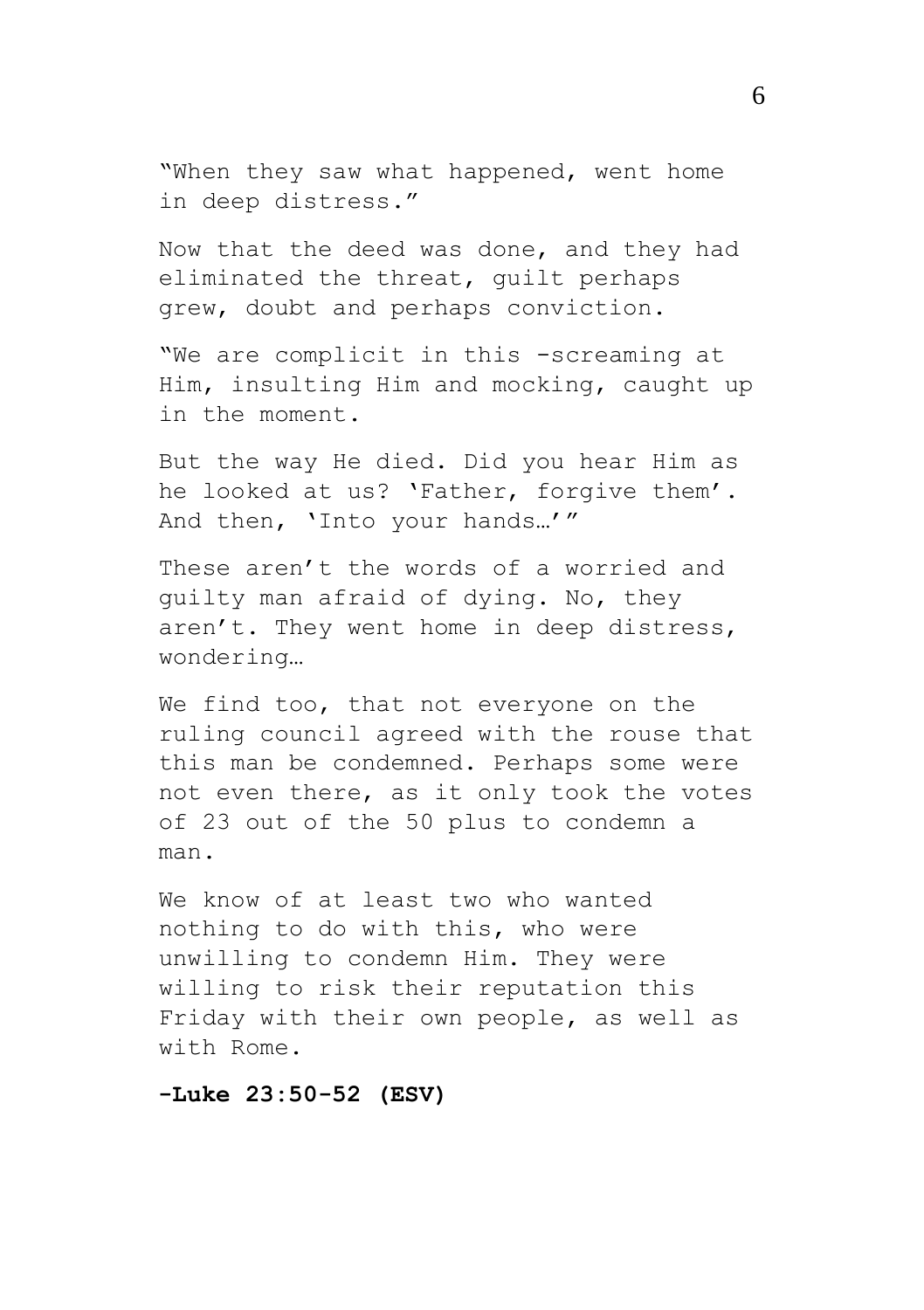"When they saw what happened, went home in deep distress."

Now that the deed was done, and they had eliminated the threat, guilt perhaps grew, doubt and perhaps conviction.

"We are complicit in this -screaming at Him, insulting Him and mocking, caught up in the moment.

But the way He died. Did you hear Him as he looked at us? 'Father, forgive them'. And then, 'Into your hands…'"

These aren't the words of a worried and guilty man afraid of dying. No, they aren't. They went home in deep distress, wondering…

We find too, that not everyone on the ruling council agreed with the rouse that this man be condemned. Perhaps some were not even there, as it only took the votes of 23 out of the 50 plus to condemn a man.

We know of at least two who wanted nothing to do with this, who were unwilling to condemn Him. They were willing to risk their reputation this Friday with their own people, as well as with Rome.

**-Luke 23:50-52 (ESV)**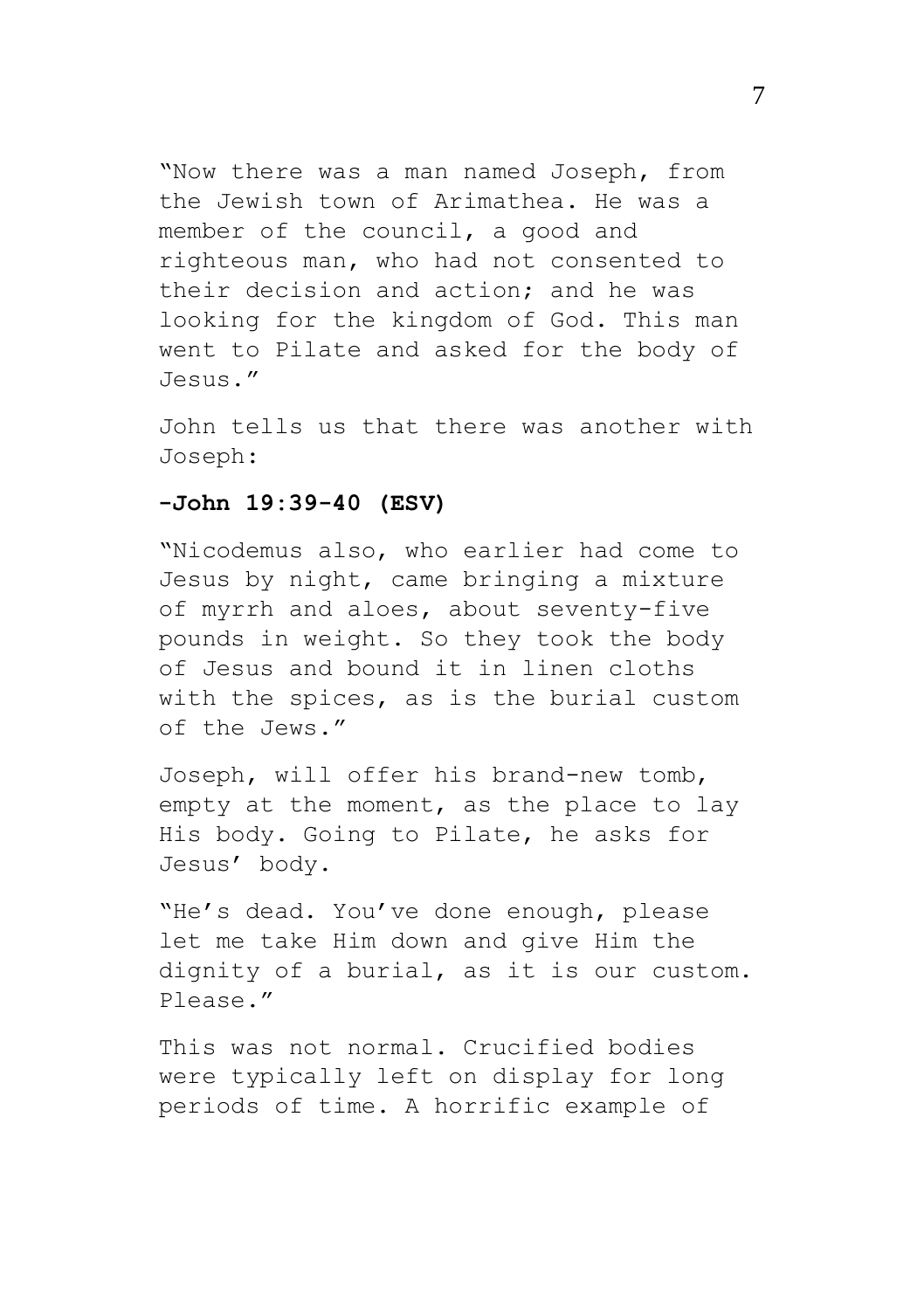"Now there was a man named Joseph, from the Jewish town of Arimathea. He was a member of the council, a good and righteous man, who had not consented to their decision and action; and he was looking for the kingdom of God. This man went to Pilate and asked for the body of Jesus."

John tells us that there was another with Joseph:

### **-John 19:39-40 (ESV)**

"Nicodemus also, who earlier had come to Jesus by night, came bringing a mixture of myrrh and aloes, about seventy-five pounds in weight. So they took the body of Jesus and bound it in linen cloths with the spices, as is the burial custom of the Jews."

Joseph, will offer his brand-new tomb, empty at the moment, as the place to lay His body. Going to Pilate, he asks for Jesus' body.

"He's dead. You've done enough, please let me take Him down and give Him the dignity of a burial, as it is our custom. Please."

This was not normal. Crucified bodies were typically left on display for long periods of time. A horrific example of

7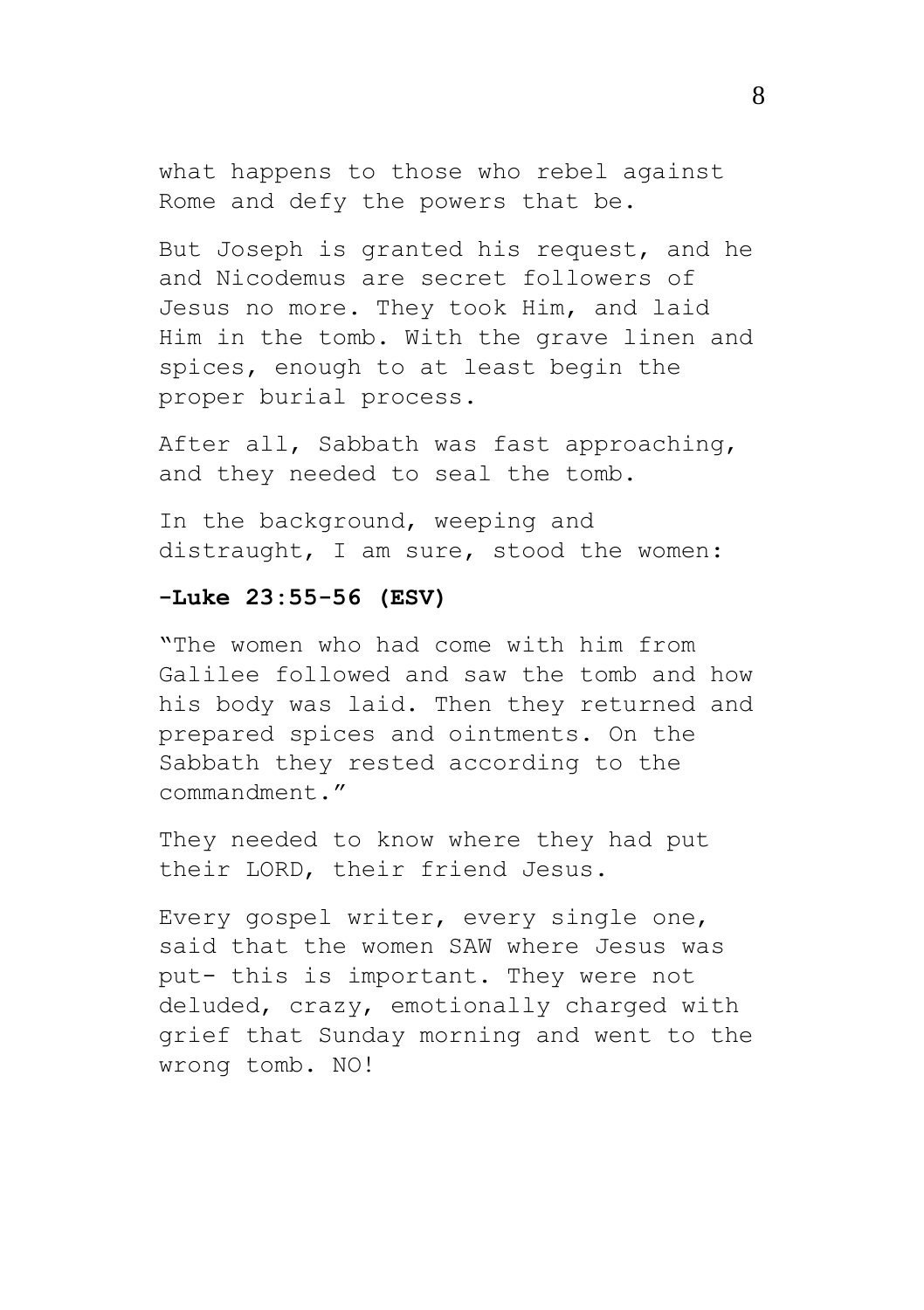what happens to those who rebel against Rome and defy the powers that be.

But Joseph is granted his request, and he and Nicodemus are secret followers of Jesus no more. They took Him, and laid Him in the tomb. With the grave linen and spices, enough to at least begin the proper burial process.

After all, Sabbath was fast approaching, and they needed to seal the tomb.

In the background, weeping and distraught, I am sure, stood the women:

# **-Luke 23:55-56 (ESV)**

"The women who had come with him from Galilee followed and saw the tomb and how his body was laid. Then they returned and prepared spices and ointments. On the Sabbath they rested according to the commandment."

They needed to know where they had put their LORD, their friend Jesus.

Every gospel writer, every single one, said that the women SAW where Jesus was put- this is important. They were not deluded, crazy, emotionally charged with grief that Sunday morning and went to the wrong tomb. NO!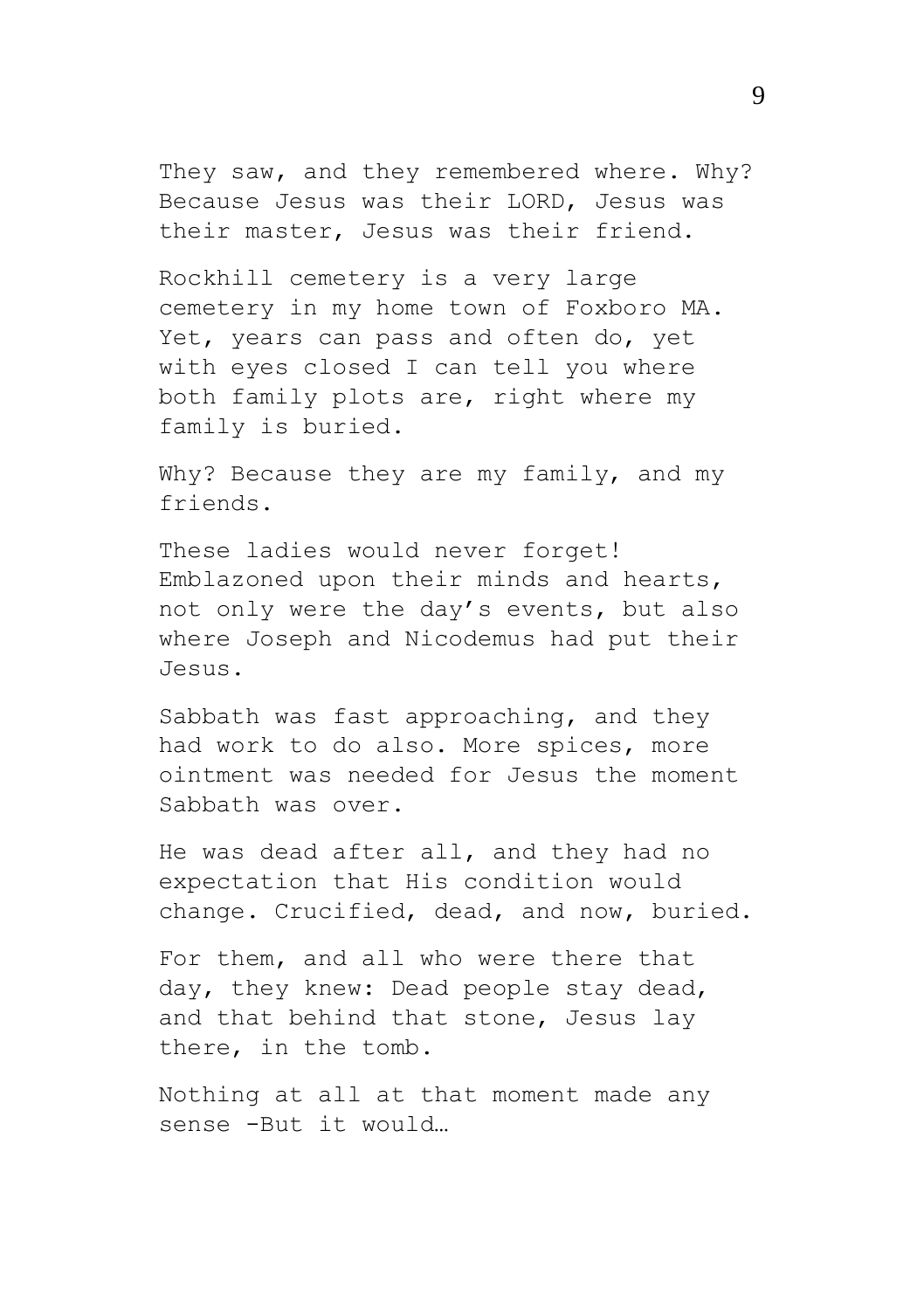They saw, and they remembered where. Why? Because Jesus was their LORD, Jesus was their master, Jesus was their friend.

Rockhill cemetery is a very large cemetery in my home town of Foxboro MA. Yet, years can pass and often do, yet with eyes closed I can tell you where both family plots are, right where my family is buried.

Why? Because they are my family, and my friends.

These ladies would never forget! Emblazoned upon their minds and hearts, not only were the day's events, but also where Joseph and Nicodemus had put their Jesus.

Sabbath was fast approaching, and they had work to do also. More spices, more ointment was needed for Jesus the moment Sabbath was over.

He was dead after all, and they had no expectation that His condition would change. Crucified, dead, and now, buried.

For them, and all who were there that day, they knew: Dead people stay dead, and that behind that stone, Jesus lay there, in the tomb.

Nothing at all at that moment made any sense -But it would…

9